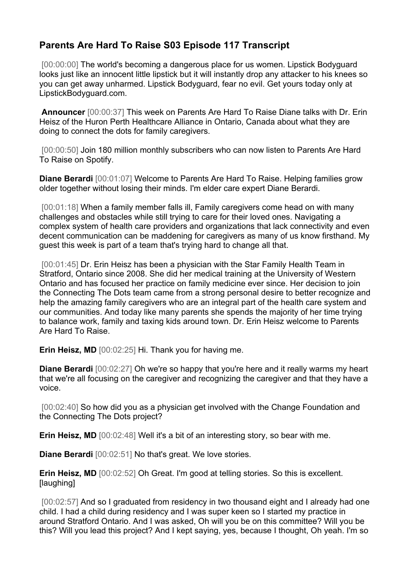## **Parents Are Hard To Raise S03 Episode 117 Transcript**

[00:00:00] The world's becoming a dangerous place for us women. Lipstick Bodyguard looks just like an innocent little lipstick but it will instantly drop any attacker to his knees so you can get away unharmed. Lipstick Bodyguard, fear no evil. Get yours today only at LipstickBodyguard.com.

**Announcer** [00:00:37] This week on Parents Are Hard To Raise Diane talks with Dr. Erin Heisz of the Huron Perth Healthcare Alliance in Ontario, Canada about what they are doing to connect the dots for family caregivers.

[00:00:50] Join 180 million monthly subscribers who can now listen to Parents Are Hard To Raise on Spotify.

**Diane Berardi** [00:01:07] Welcome to Parents Are Hard To Raise. Helping families grow older together without losing their minds. I'm elder care expert Diane Berardi.

[00:01:18] When a family member falls ill, Family caregivers come head on with many challenges and obstacles while still trying to care for their loved ones. Navigating a complex system of health care providers and organizations that lack connectivity and even decent communication can be maddening for caregivers as many of us know firsthand. My guest this week is part of a team that's trying hard to change all that.

[00:01:45] Dr. Erin Heisz has been a physician with the Star Family Health Team in Stratford, Ontario since 2008. She did her medical training at the University of Western Ontario and has focused her practice on family medicine ever since. Her decision to join the Connecting The Dots team came from a strong personal desire to better recognize and help the amazing family caregivers who are an integral part of the health care system and our communities. And today like many parents she spends the majority of her time trying to balance work, family and taxing kids around town. Dr. Erin Heisz welcome to Parents Are Hard To Raise.

**Erin Heisz, MD** [00:02:25] Hi. Thank you for having me.

**Diane Berardi** [00:02:27] Oh we're so happy that you're here and it really warms my heart that we're all focusing on the caregiver and recognizing the caregiver and that they have a voice.

[00:02:40] So how did you as a physician get involved with the Change Foundation and the Connecting The Dots project?

**Erin Heisz, MD** [00:02:48] Well it's a bit of an interesting story, so bear with me.

**Diane Berardi** [00:02:51] No that's great. We love stories.

**Erin Heisz, MD** [00:02:52] Oh Great. I'm good at telling stories. So this is excellent. [laughing]

[00:02:57] And so I graduated from residency in two thousand eight and I already had one child. I had a child during residency and I was super keen so I started my practice in around Stratford Ontario. And I was asked, Oh will you be on this committee? Will you be this? Will you lead this project? And I kept saying, yes, because I thought, Oh yeah. I'm so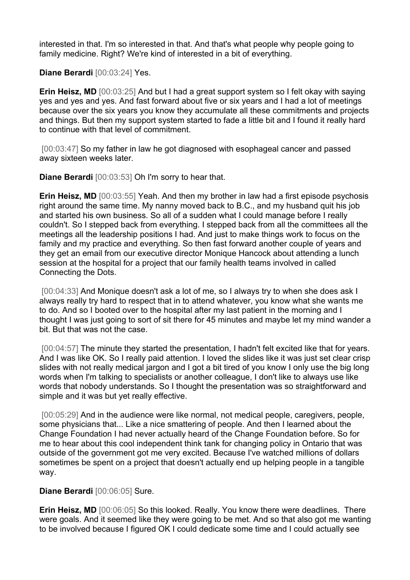interested in that. I'm so interested in that. And that's what people why people going to family medicine. Right? We're kind of interested in a bit of everything.

**Diane Berardi** [00:03:24] Yes.

**Erin Heisz, MD** [00:03:25] And but I had a great support system so I felt okay with saying yes and yes and yes. And fast forward about five or six years and I had a lot of meetings because over the six years you know they accumulate all these commitments and projects and things. But then my support system started to fade a little bit and I found it really hard to continue with that level of commitment.

[00:03:47] So my father in law he got diagnosed with esophageal cancer and passed away sixteen weeks later.

**Diane Berardi** [00:03:53] Oh I'm sorry to hear that.

**Erin Heisz, MD** [00:03:55] Yeah. And then my brother in law had a first episode psychosis right around the same time. My nanny moved back to B.C., and my husband quit his job and started his own business. So all of a sudden what I could manage before I really couldn't. So I stepped back from everything. I stepped back from all the committees all the meetings all the leadership positions I had. And just to make things work to focus on the family and my practice and everything. So then fast forward another couple of years and they get an email from our executive director Monique Hancock about attending a lunch session at the hospital for a project that our family health teams involved in called Connecting the Dots.

[00:04:33] And Monique doesn't ask a lot of me, so I always try to when she does ask I always really try hard to respect that in to attend whatever, you know what she wants me to do. And so I booted over to the hospital after my last patient in the morning and I thought I was just going to sort of sit there for 45 minutes and maybe let my mind wander a bit. But that was not the case.

[00:04:57] The minute they started the presentation, I hadn't felt excited like that for years. And I was like OK. So I really paid attention. I loved the slides like it was just set clear crisp slides with not really medical jargon and I got a bit tired of you know I only use the big long words when I'm talking to specialists or another colleague, I don't like to always use like words that nobody understands. So I thought the presentation was so straightforward and simple and it was but yet really effective.

[00:05:29] And in the audience were like normal, not medical people, caregivers, people, some physicians that... Like a nice smattering of people. And then I learned about the Change Foundation I had never actually heard of the Change Foundation before. So for me to hear about this cool independent think tank for changing policy in Ontario that was outside of the government got me very excited. Because I've watched millions of dollars sometimes be spent on a project that doesn't actually end up helping people in a tangible way.

## **Diane Berardi** [00:06:05] Sure.

**Erin Heisz, MD** [00:06:05] So this looked. Really. You know there were deadlines. There were goals. And it seemed like they were going to be met. And so that also got me wanting to be involved because I figured OK I could dedicate some time and I could actually see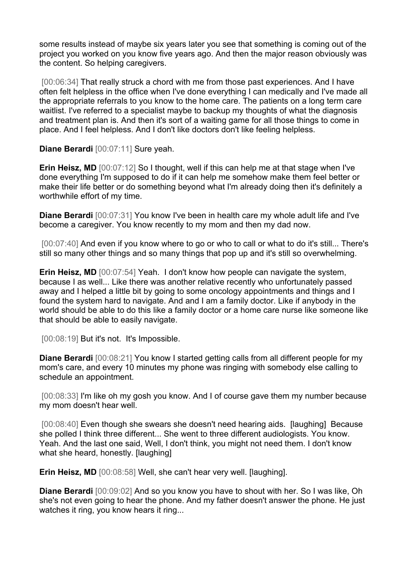some results instead of maybe six years later you see that something is coming out of the project you worked on you know five years ago. And then the major reason obviously was the content. So helping caregivers.

[00:06:34] That really struck a chord with me from those past experiences. And I have often felt helpless in the office when I've done everything I can medically and I've made all the appropriate referrals to you know to the home care. The patients on a long term care waitlist. I've referred to a specialist maybe to backup my thoughts of what the diagnosis and treatment plan is. And then it's sort of a waiting game for all those things to come in place. And I feel helpless. And I don't like doctors don't like feeling helpless.

**Diane Berardi** [00:07:11] Sure yeah.

**Erin Heisz, MD** [00:07:12] So I thought, well if this can help me at that stage when I've done everything I'm supposed to do if it can help me somehow make them feel better or make their life better or do something beyond what I'm already doing then it's definitely a worthwhile effort of my time.

**Diane Berardi** [00:07:31] You know I've been in health care my whole adult life and I've become a caregiver. You know recently to my mom and then my dad now.

[00:07:40] And even if you know where to go or who to call or what to do it's still... There's still so many other things and so many things that pop up and it's still so overwhelming.

**Erin Heisz, MD** [00:07:54] Yeah. I don't know how people can navigate the system, because I as well... Like there was another relative recently who unfortunately passed away and I helped a little bit by going to some oncology appointments and things and I found the system hard to navigate. And and I am a family doctor. Like if anybody in the world should be able to do this like a family doctor or a home care nurse like someone like that should be able to easily navigate.

[00:08:19] But it's not. It's Impossible.

**Diane Berardi** [00:08:21] You know I started getting calls from all different people for my mom's care, and every 10 minutes my phone was ringing with somebody else calling to schedule an appointment.

[00:08:33] I'm like oh my gosh you know. And I of course gave them my number because my mom doesn't hear well.

[00:08:40] Even though she swears she doesn't need hearing aids. [laughing] Because she polled I think three different... She went to three different audiologists. You know. Yeah. And the last one said, Well, I don't think, you might not need them. I don't know what she heard, honestly. [laughing]

**Erin Heisz, MD** [00:08:58] Well, she can't hear very well. [laughing].

**Diane Berardi** [00:09:02] And so you know you have to shout with her. So I was like, Oh she's not even going to hear the phone. And my father doesn't answer the phone. He just watches it ring, you know hears it ring...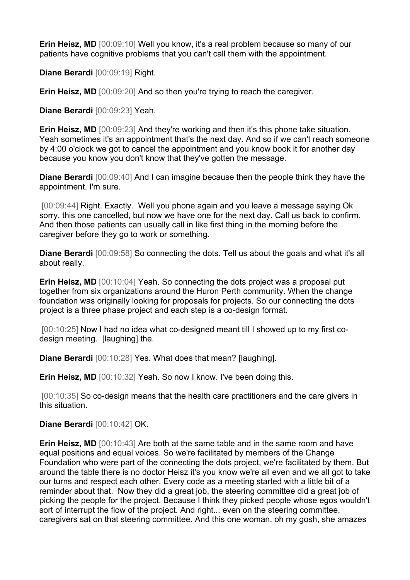**Erin Heisz, MD** [00:09:10] Well you know, it's a real problem because so many of our patients have cognitive problems that you can't call them with the appointment.

**Diane Berardi** [00:09:19] Right.

**Erin Heisz, MD** [00:09:20] And so then you're trying to reach the caregiver.

**Diane Berardi** [00:09:23] Yeah.

**Erin Heisz, MD** [00:09:23] And they're working and then it's this phone take situation. Yeah sometimes it's an appointment that's the next day. And so if we can't reach someone by 4:00 o'clock we got to cancel the appointment and you know book it for another day because you know you don't know that they've gotten the message.

**Diane Berardi** [00:09:40] And I can imagine because then the people think they have the appointment. I'm sure.

[00:09:44] Right. Exactly. Well you phone again and you leave a message saying Ok sorry, this one cancelled, but now we have one for the next day. Call us back to confirm. And then those patients can usually call in like first thing in the morning before the caregiver before they go to work or something.

**Diane Berardi** [00:09:58] So connecting the dots. Tell us about the goals and what it's all about really.

**Erin Heisz, MD** [00:10:04] Yeah. So connecting the dots project was a proposal put together from six organizations around the Huron Perth community. When the change foundation was originally looking for proposals for projects. So our connecting the dots project is a three phase project and each step is a co-design format.

[00:10:25] Now I had no idea what co-designed meant till I showed up to my first codesign meeting. [laughing] the.

**Diane Berardi** [00:10:28] Yes. What does that mean? [laughing].

**Erin Heisz, MD** [00:10:32] Yeah. So now I know. I've been doing this.

[00:10:35] So co-design means that the health care practitioners and the care givers in this situation.

**Diane Berardi** [00:10:42] OK.

**Erin Heisz, MD** [00:10:43] Are both at the same table and in the same room and have equal positions and equal voices. So we're facilitated by members of the Change Foundation who were part of the connecting the dots project, we're facilitated by them. But around the table there is no doctor Heisz it's you know we're all even and we all got to take our turns and respect each other. Every code as a meeting started with a little bit of a reminder about that. Now they did a great job, the steering committee did a great job of picking the people for the project. Because I think they picked people whose egos wouldn't sort of interrupt the flow of the project. And right... even on the steering committee, caregivers sat on that steering committee. And this one woman, oh my gosh, she amazes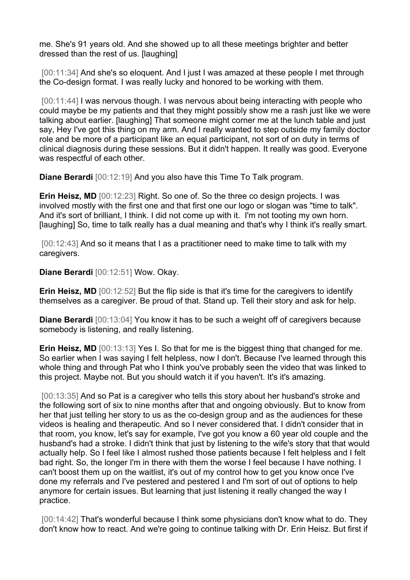me. She's 91 years old. And she showed up to all these meetings brighter and better dressed than the rest of us. [laughing]

[00:11:34] And she's so eloquent. And I just I was amazed at these people I met through the Co-design format. I was really lucky and honored to be working with them.

[00:11:44] I was nervous though. I was nervous about being interacting with people who could maybe be my patients and that they might possibly show me a rash just like we were talking about earlier. [laughing] That someone might corner me at the lunch table and just say, Hey I've got this thing on my arm. And I really wanted to step outside my family doctor role and be more of a participant like an equal participant, not sort of on duty in terms of clinical diagnosis during these sessions. But it didn't happen. It really was good. Everyone was respectful of each other.

**Diane Berardi** [00:12:19] And you also have this Time To Talk program.

**Erin Heisz, MD** [00:12:23] Right. So one of. So the three co design projects. I was involved mostly with the first one and that first one our logo or slogan was "time to talk". And it's sort of brilliant, I think. I did not come up with it. I'm not tooting my own horn. [laughing] So, time to talk really has a dual meaning and that's why I think it's really smart.

[00:12:43] And so it means that I as a practitioner need to make time to talk with my caregivers.

**Diane Berardi** [00:12:51] Wow. Okay.

**Erin Heisz, MD** [00:12:52] But the flip side is that it's time for the caregivers to identify themselves as a caregiver. Be proud of that. Stand up. Tell their story and ask for help.

**Diane Berardi** [00:13:04] You know it has to be such a weight off of caregivers because somebody is listening, and really listening.

**Erin Heisz, MD** [00:13:13] Yes I. So that for me is the biggest thing that changed for me. So earlier when I was saying I felt helpless, now I don't. Because I've learned through this whole thing and through Pat who I think you've probably seen the video that was linked to this project. Maybe not. But you should watch it if you haven't. It's it's amazing.

[00:13:35] And so Pat is a caregiver who tells this story about her husband's stroke and the following sort of six to nine months after that and ongoing obviously. But to know from her that just telling her story to us as the co-design group and as the audiences for these videos is healing and therapeutic. And so I never considered that. I didn't consider that in that room, you know, let's say for example, I've got you know a 60 year old couple and the husband's had a stroke. I didn't think that just by listening to the wife's story that that would actually help. So I feel like I almost rushed those patients because I felt helpless and I felt bad right. So, the longer I'm in there with them the worse I feel because I have nothing. I can't boost them up on the waitlist, it's out of my control how to get you know once I've done my referrals and I've pestered and pestered I and I'm sort of out of options to help anymore for certain issues. But learning that just listening it really changed the way I practice.

[00:14:42] That's wonderful because I think some physicians don't know what to do. They don't know how to react. And we're going to continue talking with Dr. Erin Heisz. But first if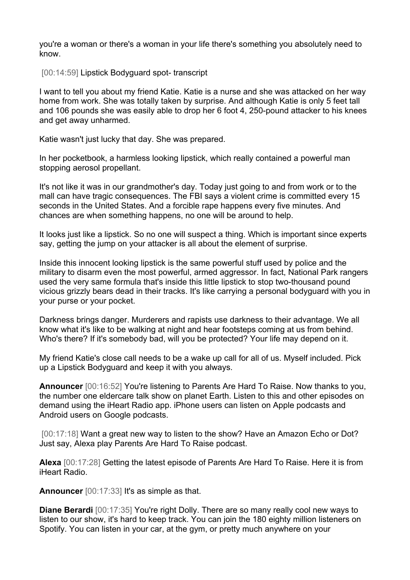you're a woman or there's a woman in your life there's something you absolutely need to know.

[00:14:59] Lipstick Bodyguard spot- transcript

I want to tell you about my friend Katie. Katie is a nurse and she was attacked on her way home from work. She was totally taken by surprise. And although Katie is only 5 feet tall and 106 pounds she was easily able to drop her 6 foot 4, 250-pound attacker to his knees and get away unharmed.

Katie wasn't just lucky that day. She was prepared.

In her pocketbook, a harmless looking lipstick, which really contained a powerful man stopping aerosol propellant.

It's not like it was in our grandmother's day. Today just going to and from work or to the mall can have tragic consequences. The FBI says a violent crime is committed every 15 seconds in the United States. And a forcible rape happens every five minutes. And chances are when something happens, no one will be around to help.

It looks just like a lipstick. So no one will suspect a thing. Which is important since experts say, getting the jump on your attacker is all about the element of surprise.

Inside this innocent looking lipstick is the same powerful stuff used by police and the military to disarm even the most powerful, armed aggressor. In fact, National Park rangers used the very same formula that's inside this little lipstick to stop two-thousand pound vicious grizzly bears dead in their tracks. It's like carrying a personal bodyguard with you in your purse or your pocket.

Darkness brings danger. Murderers and rapists use darkness to their advantage. We all know what it's like to be walking at night and hear footsteps coming at us from behind. Who's there? If it's somebody bad, will you be protected? Your life may depend on it.

My friend Katie's close call needs to be a wake up call for all of us. Myself included. Pick up a Lipstick Bodyguard and keep it with you always.

**Announcer** [00:16:52] You're listening to Parents Are Hard To Raise. Now thanks to you, the number one eldercare talk show on planet Earth. Listen to this and other episodes on demand using the iHeart Radio app. iPhone users can listen on Apple podcasts and Android users on Google podcasts.

[00:17:18] Want a great new way to listen to the show? Have an Amazon Echo or Dot? Just say, Alexa play Parents Are Hard To Raise podcast.

**Alexa** [00:17:28] Getting the latest episode of Parents Are Hard To Raise. Here it is from iHeart Radio.

**Announcer** [00:17:33] It's as simple as that.

**Diane Berardi** [00:17:35] You're right Dolly. There are so many really cool new ways to listen to our show, it's hard to keep track. You can join the 180 eighty million listeners on Spotify. You can listen in your car, at the gym, or pretty much anywhere on your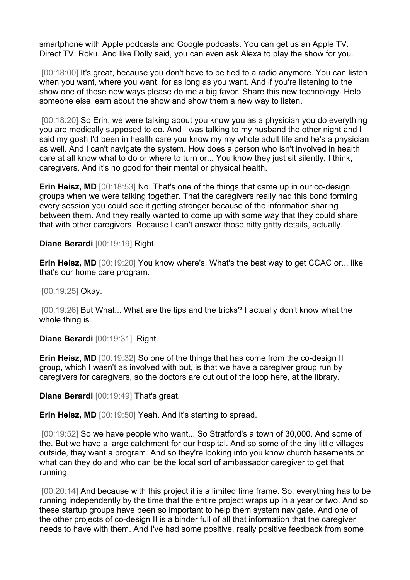smartphone with Apple podcasts and Google podcasts. You can get us an Apple TV. Direct TV. Roku. And like Dolly said, you can even ask Alexa to play the show for you.

[00:18:00] It's great, because you don't have to be tied to a radio anymore. You can listen when you want, where you want, for as long as you want. And if you're listening to the show one of these new ways please do me a big favor. Share this new technology. Help someone else learn about the show and show them a new way to listen.

[00:18:20] So Erin, we were talking about you know you as a physician you do everything you are medically supposed to do. And I was talking to my husband the other night and I said my gosh I'd been in health care you know my my whole adult life and he's a physician as well. And I can't navigate the system. How does a person who isn't involved in health care at all know what to do or where to turn or... You know they just sit silently, I think, caregivers. And it's no good for their mental or physical health.

**Erin Heisz, MD** [00:18:53] No. That's one of the things that came up in our co-design groups when we were talking together. That the caregivers really had this bond forming every session you could see it getting stronger because of the information sharing between them. And they really wanted to come up with some way that they could share that with other caregivers. Because I can't answer those nitty gritty details, actually.

**Diane Berardi** [00:19:19] Right.

**Erin Heisz, MD** [00:19:20] You know where's. What's the best way to get CCAC or... like that's our home care program.

[00:19:25] Okay.

[00:19:26] But What... What are the tips and the tricks? I actually don't know what the whole thing is.

**Diane Berardi** [00:19:31] Right.

**Erin Heisz, MD** [00:19:32] So one of the things that has come from the co-design II group, which I wasn't as involved with but, is that we have a caregiver group run by caregivers for caregivers, so the doctors are cut out of the loop here, at the library.

**Diane Berardi** [00:19:49] That's great.

**Erin Heisz, MD** [00:19:50] Yeah. And it's starting to spread.

[00:19:52] So we have people who want... So Stratford's a town of 30,000. And some of the. But we have a large catchment for our hospital. And so some of the tiny little villages outside, they want a program. And so they're looking into you know church basements or what can they do and who can be the local sort of ambassador caregiver to get that running.

[00:20:14] And because with this project it is a limited time frame. So, everything has to be running independently by the time that the entire project wraps up in a year or two. And so these startup groups have been so important to help them system navigate. And one of the other projects of co-design II is a binder full of all that information that the caregiver needs to have with them. And I've had some positive, really positive feedback from some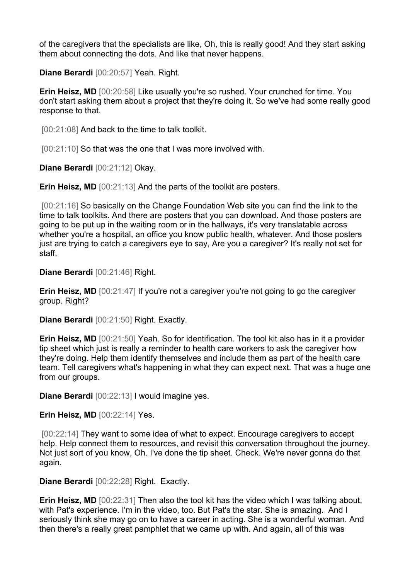of the caregivers that the specialists are like, Oh, this is really good! And they start asking them about connecting the dots. And like that never happens.

**Diane Berardi** [00:20:57] Yeah. Right.

**Erin Heisz, MD** [00:20:58] Like usually you're so rushed. Your crunched for time. You don't start asking them about a project that they're doing it. So we've had some really good response to that.

[00:21:08] And back to the time to talk toolkit.

[00:21:10] So that was the one that I was more involved with.

**Diane Berardi** [00:21:12] Okay.

**Erin Heisz, MD** [00:21:13] And the parts of the toolkit are posters.

[00:21:16] So basically on the Change Foundation Web site you can find the link to the time to talk toolkits. And there are posters that you can download. And those posters are going to be put up in the waiting room or in the hallways, it's very translatable across whether you're a hospital, an office you know public health, whatever. And those posters just are trying to catch a caregivers eye to say, Are you a caregiver? It's really not set for staff.

**Diane Berardi** [00:21:46] Right.

**Erin Heisz, MD** [00:21:47] If you're not a caregiver you're not going to go the caregiver group. Right?

**Diane Berardi** [00:21:50] Right. Exactly.

**Erin Heisz, MD** [00:21:50] Yeah. So for identification. The tool kit also has in it a provider tip sheet which just is really a reminder to health care workers to ask the caregiver how they're doing. Help them identify themselves and include them as part of the health care team. Tell caregivers what's happening in what they can expect next. That was a huge one from our groups.

**Diane Berardi** [00:22:13] I would imagine yes.

**Erin Heisz, MD** [00:22:14] Yes.

[00:22:14] They want to some idea of what to expect. Encourage caregivers to accept help. Help connect them to resources, and revisit this conversation throughout the journey. Not just sort of you know, Oh. I've done the tip sheet. Check. We're never gonna do that again.

**Diane Berardi** [00:22:28] Right. Exactly.

**Erin Heisz, MD** [00:22:31] Then also the tool kit has the video which I was talking about, with Pat's experience. I'm in the video, too. But Pat's the star. She is amazing. And I seriously think she may go on to have a career in acting. She is a wonderful woman. And then there's a really great pamphlet that we came up with. And again, all of this was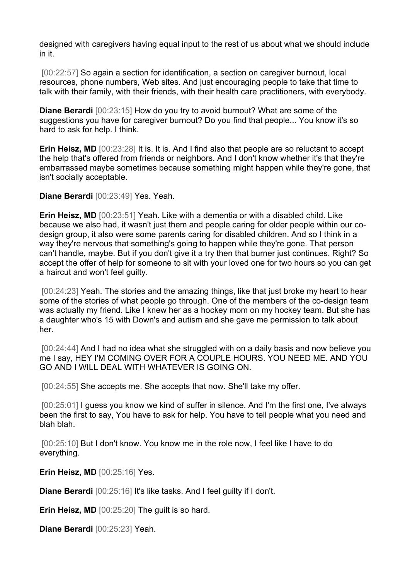designed with caregivers having equal input to the rest of us about what we should include in it.

[00:22:57] So again a section for identification, a section on caregiver burnout, local resources, phone numbers, Web sites. And just encouraging people to take that time to talk with their family, with their friends, with their health care practitioners, with everybody.

**Diane Berardi** [00:23:15] How do you try to avoid burnout? What are some of the suggestions you have for caregiver burnout? Do you find that people... You know it's so hard to ask for help. I think.

**Erin Heisz, MD** [00:23:28] It is. It is. And I find also that people are so reluctant to accept the help that's offered from friends or neighbors. And I don't know whether it's that they're embarrassed maybe sometimes because something might happen while they're gone, that isn't socially acceptable.

**Diane Berardi** [00:23:49] Yes. Yeah.

**Erin Heisz, MD** [00:23:51] Yeah. Like with a dementia or with a disabled child. Like because we also had, it wasn't just them and people caring for older people within our codesign group, it also were some parents caring for disabled children. And so I think in a way they're nervous that something's going to happen while they're gone. That person can't handle, maybe. But if you don't give it a try then that burner just continues. Right? So accept the offer of help for someone to sit with your loved one for two hours so you can get a haircut and won't feel guilty.

[00:24:23] Yeah. The stories and the amazing things, like that just broke my heart to hear some of the stories of what people go through. One of the members of the co-design team was actually my friend. Like I knew her as a hockey mom on my hockey team. But she has a daughter who's 15 with Down's and autism and she gave me permission to talk about her.

[00:24:44] And I had no idea what she struggled with on a daily basis and now believe you me I say, HEY I'M COMING OVER FOR A COUPLE HOURS. YOU NEED ME. AND YOU GO AND I WILL DEAL WITH WHATEVER IS GOING ON.

[00:24:55] She accepts me. She accepts that now. She'll take my offer.

[00:25:01] I guess you know we kind of suffer in silence. And I'm the first one, I've always been the first to say, You have to ask for help. You have to tell people what you need and blah blah.

[00:25:10] But I don't know. You know me in the role now, I feel like I have to do everything.

**Erin Heisz, MD** [00:25:16] Yes.

**Diane Berardi** [00:25:16] It's like tasks. And I feel guilty if I don't.

**Erin Heisz, MD** [00:25:20] The guilt is so hard.

**Diane Berardi** [00:25:23] Yeah.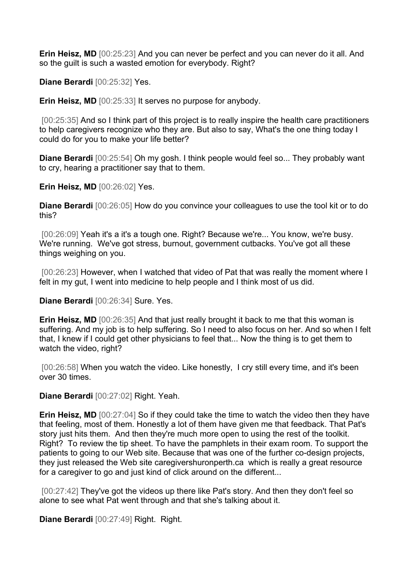**Erin Heisz, MD** [00:25:23] And you can never be perfect and you can never do it all. And so the guilt is such a wasted emotion for everybody. Right?

**Diane Berardi** [00:25:32] Yes.

**Erin Heisz, MD** [00:25:33] It serves no purpose for anybody.

[00:25:35] And so I think part of this project is to really inspire the health care practitioners to help caregivers recognize who they are. But also to say, What's the one thing today I could do for you to make your life better?

**Diane Berardi** [00:25:54] Oh my gosh. I think people would feel so... They probably want to cry, hearing a practitioner say that to them.

**Erin Heisz, MD** [00:26:02] Yes.

**Diane Berardi** [00:26:05] How do you convince your colleagues to use the tool kit or to do this?

[00:26:09] Yeah it's a it's a tough one. Right? Because we're... You know, we're busy. We're running. We've got stress, burnout, government cutbacks. You've got all these things weighing on you.

[00:26:23] However, when I watched that video of Pat that was really the moment where I felt in my gut, I went into medicine to help people and I think most of us did.

**Diane Berardi** [00:26:34] Sure. Yes.

**Erin Heisz, MD** [00:26:35] And that just really brought it back to me that this woman is suffering. And my job is to help suffering. So I need to also focus on her. And so when I felt that, I knew if I could get other physicians to feel that... Now the thing is to get them to watch the video, right?

[00:26:58] When you watch the video. Like honestly, I cry still every time, and it's been over 30 times.

**Diane Berardi** [00:27:02] Right. Yeah.

**Erin Heisz, MD** [00:27:04] So if they could take the time to watch the video then they have that feeling, most of them. Honestly a lot of them have given me that feedback. That Pat's story just hits them. And then they're much more open to using the rest of the toolkit. Right? To review the tip sheet. To have the pamphlets in their exam room. To support the patients to going to our Web site. Because that was one of the further co-design projects, they just released the Web site caregivershuronperth.ca which is really a great resource for a caregiver to go and just kind of click around on the different...

[00:27:42] They've got the videos up there like Pat's story. And then they don't feel so alone to see what Pat went through and that she's talking about it.

**Diane Berardi** [00:27:49] Right. Right.